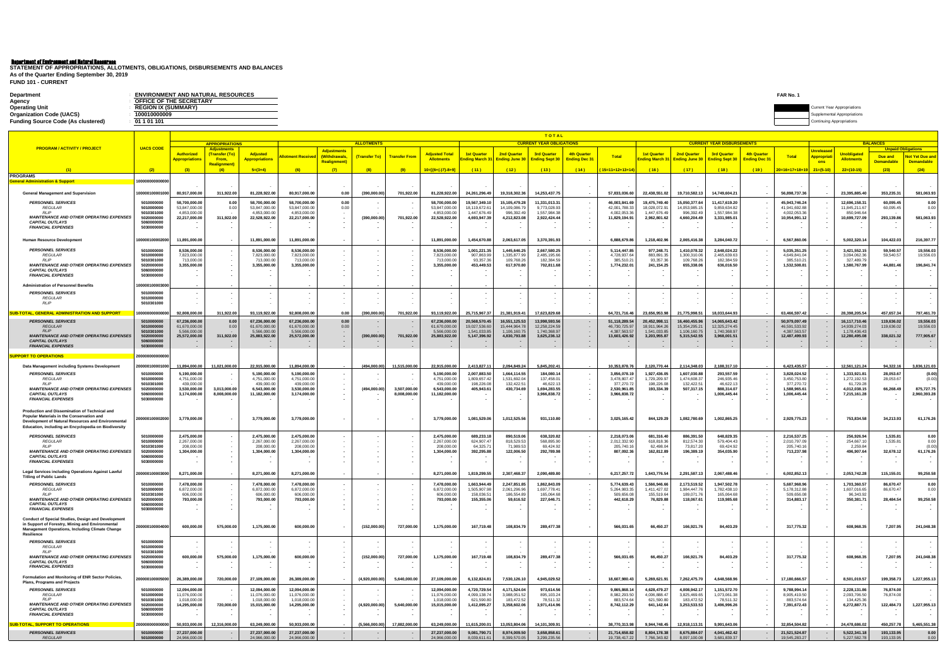| FAR No.<br><b>ENVIRONMENT AND NATURAL RESOURCES</b><br><b>Department</b> |                    |
|--------------------------------------------------------------------------|--------------------|
| OFFICE OF THE SECRETARY<br>Agency                                        |                    |
| <b>Operating Unit</b><br><b>REGION IX (SUMMARY)</b>                      | ear Appropriations |
| <b>Organization Code (UACS)</b><br>100010000009                          |                    |
| <b>Funding Source Code (As clustered)</b><br>01 1 01 101                 |                    |

**FUND 101 - CURRENT STATEMENT OF APPROPRIATIONS, ALLOTMENTS, OBLIGATIONS, DISBURSEMENTS AND BALANCES As of the Quarter Ending September 30, 2019**

|                                                                                                                          |                                        |                                |                                             |                                          |                                |                                    |                   |                          |                                            |                                                  |                                | <b>TOTAL</b>                    |                                            |                               |                                      |                              |                                   |                                    |                                |                                                      |                                         |                         |                           |
|--------------------------------------------------------------------------------------------------------------------------|----------------------------------------|--------------------------------|---------------------------------------------|------------------------------------------|--------------------------------|------------------------------------|-------------------|--------------------------|--------------------------------------------|--------------------------------------------------|--------------------------------|---------------------------------|--------------------------------------------|-------------------------------|--------------------------------------|------------------------------|-----------------------------------|------------------------------------|--------------------------------|------------------------------------------------------|-----------------------------------------|-------------------------|---------------------------|
| <b>PROGRAM / ACTIVITY / PROJECT</b>                                                                                      | <b>UACS CODE</b>                       |                                | <b>APPROPRIATIONS</b><br><b>Adjustments</b> |                                          |                                |                                    | <b>ALLOTMENTS</b> |                          |                                            |                                                  |                                | <b>CURRENT YEAR OBLIGATIONS</b> |                                            |                               |                                      |                              | <b>CURRENT YEAR DISBURSEMENTS</b> |                                    |                                |                                                      |                                         | <b>BALANCES</b>         | <b>Unpaid Obligations</b> |
|                                                                                                                          |                                        | <b>Authorized</b>              | (Transfer (To)<br>From.                     | <b>Adjusted</b><br><b>Appropriations</b> | <u>lotment Receive</u>         | <b>Adjustments</b><br>(Withdrawals | (Transfer To)     | <b>Transfer Fron</b>     | <b>Adjusted Total</b><br><b>Allotments</b> | <b>1st Quarter</b><br><mark>าding March 3</mark> | <b>2nd Quarter</b>             | <b>3rd Quarter</b>              | <b>4th Quarter</b><br><b>Ending Dec 31</b> | <b>Total</b>                  | <b>1st Quarter</b><br>nding March 31 | <b>2nd Quarter</b>           | <b>3rd Quarter</b>                | 4th Quarter<br><b>Ending Dec 3</b> | <b>Total</b>                   | <u> Jnreleased</u><br>Appropria                      | <u>Unobligated</u><br><b>Allotments</b> | Due and                 | <b>Not Yet Due and</b>    |
|                                                                                                                          |                                        | <b>Appropriations</b>          | Realignment                                 |                                          |                                | <b>Realignment</b>                 |                   |                          |                                            |                                                  | <b>Ending June 30</b>          | <b>Ending Sept 3</b>            |                                            |                               |                                      | <b>Ending June 30</b>        | <b>Ending Sept 30</b>             |                                    |                                | ons                                                  |                                         | <mark>Demandable</mark> | <b>Demandable</b>         |
| PROGRAMS                                                                                                                 | (2)                                    | (3)                            | (4)                                         | $5=(3+4)$                                | (6)                            | (7)                                | (8)               | (9)                      | $10=[(6+(-)7)-8+9]$                        | (11)                                             | (12)                           | (13)                            | (14)                                       | (15=11+12+13+14)              | (16)                                 | (17)                         | (18)                              | (19)                               | 20=16+17+18+19                 | $21=(5-10)$                                          | $22=(10-15)$                            | (23)                    | (24)                      |
| eneral Administration & Support                                                                                          | 00000000000000                         |                                |                                             |                                          |                                |                                    |                   |                          |                                            |                                                  |                                |                                 |                                            |                               |                                      |                              |                                   |                                    |                                |                                                      |                                         |                         |                           |
| <b>General Management and Supervision</b>                                                                                | 100000100001000                        | 80,917,000.00                  | 311,922.00                                  | 81,228,922.00                            | 80,917,000.00                  | 0.00                               | (390,000.00)      | 701,922.00               | 81,228,922.00                              | 24,261,296.49                                    | 19,318,302.36                  | 14,253,437.7                    | $\sim$                                     | 57,833,036.60                 | 22,438,551.02                        | 19,710,582.1                 | 14,749,604.21                     |                                    | 56,898,737.36                  | $\overline{\phantom{a}}$                             | 23,395,885.40                           | 353,235.31              | 581,063.93                |
| <b>PERSONNEL SERVICES</b><br><b>REGULAR</b>                                                                              | 5010000000<br>5010000000               | 58,700,000.00<br>53,847,000.00 | 0.00<br>0.00                                | 58,700,000.00<br>53,847,000.00           | 58,700,000.00<br>53,847,000.00 | 0.00<br>0.00                       |                   |                          | 58,700,000.00<br>53,847,000.00             | 19,567,349.1<br>18,119,672.61                    | 15,105,479.28<br>14,109,086.79 | 11,331,013.3<br>9,773,028.93    |                                            | 46,003,841.6<br>42,001,788.33 | 19,475,749.40<br>18,028,072.91       | 15,050,377.6<br>14,053,985.1 | 11,417,619.20<br>9,859,634.82     |                                    | 45,943,746.24<br>41,941,692.88 |                                                      | 12,696,158.31<br>11,845,211.67          | 60,095.4<br>60,095.45   | 0.00<br>0.00              |
| <b>RLIP</b><br><b>MAINTENANCE AND OTHER OPERATING EXPENSES</b>                                                           | 5010301000<br>5020000000               | 4,853,000.00<br>22,217,000.00  | 311,922.00                                  | 4,853,000.00<br>22,528,922.00            | 4,853,000.00<br>22,217,000.00  |                                    | (390,000.00)      | 701,922.00               | 4,853,000.00<br>22,528,922.00              | 1,447,676.49<br>4,693,947.39                     | 996,392.49<br>4,212,823.08     | 1,557,984.38<br>2,922,424.44    |                                            | 4,002,053.36<br>11,829,194.91 | 1,447,676.49<br>2,962,801.62         | 996,392.49<br>4,660,204.49   | 1,557,984.38<br>3,331,985.01      |                                    | 4,002,053.36<br>10,954,991.12  |                                                      | 850,946.64<br>10,699,727.09             | 293,139.86              | 581,063.93                |
| <b>CAPITAL OUTLAYS</b><br><b>FINANCIAL EXPENSES</b>                                                                      | 5060000000<br>5030000000               |                                |                                             |                                          |                                |                                    |                   |                          |                                            |                                                  |                                |                                 |                                            |                               |                                      |                              |                                   |                                    |                                | . .<br>. .                                           |                                         |                         |                           |
| Human Resource Developmen                                                                                                | 0000010000200                          | 11,891,000.00                  |                                             | 11,891,000.00                            | 11,891,000.00                  |                                    |                   | $\sim$                   | 11,891,000.00                              | 1,454,670.88                                     | 2,063,617.05                   | 3,370,391.9                     |                                            | 6,888,679.80                  | 1,218,402.96                         | 2,065,416.38                 | 3,284,040.72                      |                                    | 6,567,860.06                   | и,                                                   | 5,002,320.14                            | 104,422.03              | 216,397.77                |
| <b>PERSONNEL SERVICES</b>                                                                                                | 5010000000<br>5010000000               | 8,536,000.00                   |                                             | 8,536,000.00                             | 8,536,000.00<br>7,823,000.00   |                                    |                   |                          | 8,536,000.00<br>7,823,000.00               | 1,001,221.3                                      | 1,445,646.25<br>1,335,877.99   | 2,667,580.2                     |                                            | 5,114,447.8                   | 977,248.71                           | 1,410,078.3<br>1,300,310.0   | 2,648,024.22                      |                                    | 5,035,351.25<br>4,649,841.04   |                                                      | 3,421,552.15<br>3,094,062.36            | 59,540.57               | 19,556.03<br>19,556.03    |
| <b>REGULAR</b><br>RLIP                                                                                                   | 5010301000                             | 7,823,000.00<br>713,000.00     |                                             | 7,823,000.00<br>713,000.00               | 713,000.00                     |                                    |                   |                          | 713,000.00                                 | 907,863.99<br>93,357.36                          | 109,768.26                     | 2,485,195.66<br>182,384.5       |                                            | 4,728,937.64<br>385,510.2     | 883,891.3<br>93,357.36               | 109,768.26                   | 2,465,639.63<br>182,384.59        |                                    | 385,510.21                     |                                                      | 327,489.79                              | 59,540.57               |                           |
| <b>MAINTENANCE AND OTHER OPERATING EXPENSES</b><br><b>CAPITAL OUTLAYS</b>                                                | 5020000000<br>5060000000               | 3,355,000.00                   |                                             | 3,355,000.00                             | 3,355,000.00                   |                                    |                   |                          | 3,355,000.00                               | 453,449.53                                       | 617,970.80                     | 702,811.68                      |                                            | 1,774,232.01                  | 241,154.25                           | 655,338.06                   | 636,016.50                        |                                    | 1,532,508.81                   | . .<br>. .                                           | 1,580,767.99                            | 44,881.46               | 196,841.74                |
| <b>FINANCIAL EXPENSES</b>                                                                                                | 5030000000                             |                                |                                             |                                          |                                |                                    |                   |                          |                                            |                                                  |                                |                                 |                                            |                               |                                      |                              |                                   |                                    |                                |                                                      |                                         |                         |                           |
| <b>Administration of Personnel Benefits</b>                                                                              | 0000010000300                          |                                |                                             |                                          |                                |                                    |                   |                          |                                            |                                                  |                                |                                 |                                            |                               |                                      |                              |                                   |                                    |                                |                                                      |                                         |                         |                           |
| <b>PERSONNEL SERVICES</b><br><b>REGULAR</b><br>RLIP                                                                      | 5010000000<br>5010000000<br>5010301000 |                                |                                             |                                          |                                |                                    |                   |                          |                                            |                                                  |                                |                                 |                                            |                               |                                      |                              |                                   |                                    |                                |                                                      |                                         |                         |                           |
| IR-TOTAL GENERAL ADMINISTRATION AND SUPPORT                                                                              | <b>000000000000</b>                    | 92,808,000.00                  | 311,922.00                                  | 93.119.922.00                            | 92.808.000.00                  | 0.00                               | 390,000.00        | 701,922.00               | 93.119.922.00                              | 25.715.967.37                                    | 21.381.919.41                  | 17,623,829.6                    |                                            | 64.721.716.46                 | 23.656.953.98                        | 21.775.998.51                | 18.033.644.93                     |                                    | 63.466.597.42                  |                                                      | 28,398,205.54                           | 457,657.34              | 797,461.70                |
| <b>PERSONNEL SERVICES</b>                                                                                                | 5010000000                             | 67,236,000.0                   | 0.0                                         | 67,236,000.00                            | 67,236,000.00                  | 0.00                               |                   |                          | 67,236,000.00                              | 20,568,570.4                                     | 16,551,125.53                  | 13,998,593.5                    | $\sim$                                     | 51,118,289.5                  | 20,452,998.1                         | 16,460,455.9                 | 14,065,643.42                     |                                    | 50,979,097.49                  |                                                      | 16,117,710.46                           | 119,636.02              | 19,556.03                 |
| <b>REGULAR</b><br><b>RLIP</b>                                                                                            | 5010000000<br>5010301000               | 61,670,000.00<br>5.566.000.00  | 0.00                                        | 61,670,000.00<br>5,566,000.00            | 61,670,000.00<br>5.566.000.00  | 0.00                               |                   |                          | 61.670.000.00<br>5.566.000.0               | 19,027,536.60<br>1.541.033.8                     | 15,444,964.78<br>1,106,160.7   | 12,258,224.5<br>1.740.368.9     | $\sim$<br>$\sim$                           | 46,730,725.97<br>4,387,563.57 | 18,911,964.26<br>1.541.033.85        | 15,354,295.2<br>1.106.160.7  | 12,325,274.45<br>1,740,368.97     |                                    | 46.591.533.92<br>4.387.563.57  |                                                      | 14,939,274.03<br>1,178,436.43           | 119,636.02              | 19,556.03                 |
| <b>MAINTENANCE AND OTHER OPERATING EXPENSES</b><br><b>CAPITAL OUTLAYS</b>                                                | 5020000000<br>5060000000               | 25,572,000.00                  | 311,922.00                                  | 25,883,922.00                            | 25,572,000.00                  |                                    | (390,000.00)      | 701,922.00               | 25,883,922.00                              | 5,147,396.92                                     | 4,830,793.88                   | 3,625,236.12                    | $\sim$<br>$\sim$                           | 13,603,426.92                 | 3,203,955.87                         | 5,315,542.5                  | 3,968,001.51                      |                                    | 12,487,499.93                  | $\blacksquare$                                       | 12,280,495.08                           | 338,021.32              | 777,905.67                |
| <b>FINANCIAL EXPENSES</b>                                                                                                | 5030000000                             |                                |                                             |                                          |                                |                                    |                   | $\sim$                   |                                            |                                                  |                                |                                 | $\sim$                                     |                               |                                      |                              |                                   |                                    |                                |                                                      |                                         |                         |                           |
| PORT TO OPERATIONS                                                                                                       | 200000000000000                        |                                |                                             |                                          |                                |                                    |                   |                          |                                            |                                                  |                                |                                 |                                            |                               |                                      |                              |                                   |                                    |                                |                                                      |                                         |                         |                           |
| Data Management including Systems Development                                                                            | 00000100001000                         | 11,894,000.00                  | 11,021,000.00                               | 22,915,000.00                            | 11,894,000.00                  |                                    | (494,000.00)      | 11,515,000.00            | 22,915,000.00                              | 2,413,827.11                                     | 2,094,849.24                   | 5,845,202.41                    |                                            | 10,353,878.76                 | 2,120,770.44                         | 2,114,348.03                 | 2,188,317.10                      |                                    | 6,423,435.57                   |                                                      | 12,561,121.24                           | 94,322.16               | 3,836,121.03              |
| <b>PERSONNEL SERVICES</b><br><b>REGULAR</b>                                                                              | 5010000000<br>5010000000               | 5,190,000.00<br>4,751,000.00   |                                             | 5,190,000.00<br>4,751,000.00             | 5,190,000.00<br>4,751,000.00   |                                    |                   |                          | 5,190,000.00<br>4,751,000.00               | 2.007.883.50<br>1,809,657.42                     | 1,664,114.55<br>1,531,692.04   | 184,080.1<br>137,458.01         |                                            | 3,856,078.1<br>3,478,807.47   | 1,927,436.05<br>1,729,209.97         | 1.607,030.8<br>1,474,608.3   | 293,557.59<br>246,935.46          |                                    | 3,828,024.52<br>3,450,753.80   |                                                      | 1,333,921.81<br>1,272,192.53            | 28,053.67<br>28,053.67  | (0.00)<br>(0.00)          |
| <b>RLIP</b><br><b>MAINTENANCE AND OTHER OPERATING EXPENSES</b>                                                           | 5010301000<br>5020000000               | 439,000.00<br>3,530,000.00     | 3,013,000.00                                | 439,000.00<br>6,543,000.00               | 439,000.00<br>3,530,000.00     |                                    | (494,000.00)      | 3,507,000.00             | 439,000.00<br>6,543,000.00                 | 198,226.08<br>405,943.6                          | 132,422.51<br>430,734.69       | 46,622.13<br>1,694,283.55       |                                            | 377,270.72<br>2,530,961.85    | 198,226.08<br>193,334.39             | 132,422.5<br>507,317.15      | 46,622.13<br>888,314.07           |                                    | 377,270.72<br>1,588,965.61     |                                                      | 61,729.28<br>4,012,038.15               | 66,268.49               | 875,727.75                |
| <b>CAPITAL OUTLAYS</b>                                                                                                   | 5060000000                             | 3,174,000.00                   | 8,008,000.00                                | 11,182,000.00                            | 3,174,000.00                   |                                    |                   | 8,008,000.00             | 11,182,000.00                              |                                                  |                                | 3,966,838.72                    |                                            | 3,966,838.72                  |                                      |                              | 1,006,445.44                      |                                    | 1,006,445.44                   |                                                      | 7,215,161.28                            |                         | 2,960,393.28              |
| <b>FINANCIAL EXPENSES</b>                                                                                                | 5030000000                             |                                |                                             |                                          |                                |                                    |                   |                          |                                            |                                                  |                                |                                 |                                            |                               |                                      |                              |                                   |                                    |                                |                                                      |                                         |                         |                           |
| Production and Dissemination of Technical and<br>Popular Materials in the Conservation and                               |                                        |                                |                                             |                                          |                                |                                    |                   |                          |                                            |                                                  |                                |                                 |                                            |                               |                                      |                              |                                   |                                    |                                |                                                      |                                         |                         |                           |
| Development of Natural Resources and Environmental<br>Education, including an Encyclopedia on Biodiversity               | :00000100002000                        | 3,779,000.00                   |                                             | 3,779,000.00                             | 3,779,000.00                   |                                    |                   |                          | 3,779,000.00                               | 1,081,529.06                                     | 1,012,525.56                   | 931,110.80                      |                                            | 3,025,165.42                  | 844,129.29                           | 1,082,780.69                 | 1,002,865.25                      |                                    | 2,929,775.23                   | $\sim$                                               | 753,834.58                              | 34,213.93               | 61,176.26                 |
| <b>PERSONNEL SERVICES</b>                                                                                                | 5010000000                             | 2,475,000.00                   |                                             | 2,475,000.00                             | 2,475,000.00                   |                                    |                   |                          | 2,475,000.00                               | 689,233.1                                        | 890,519.06                     | 638,320.82                      |                                            | 2,218,073.06                  | 681,316.40                           | 886,391.50                   | 648,829.35                        |                                    | 2,216,537.25                   |                                                      | 256,926.94                              | 1,535.81                | 0.00                      |
| <b>REGULAR</b><br><b>RLIP</b>                                                                                            | 5010000000                             | 2,267,000.00                   |                                             | 2,267,000.00                             | 2,267,000.00                   |                                    |                   |                          | 2,267,000.00                               | 624,907.47                                       | 818,529.53                     | 568,895.90                      |                                            | 2,012,332.90                  | 618,818.36                           | 812,574.30                   | 579,404.43                        |                                    | 2,010,797.09                   |                                                      | 254,667.10                              | 1,535.81                | 0.00                      |
| <b>MAINTENANCE AND OTHER OPERATING EXPENSES</b>                                                                          | 5010301000<br>5020000000               | 208,000.00<br>1,304,000.00     |                                             | 208,000.00<br>1,304,000.00               | 208,000.00<br>1,304,000.00     |                                    |                   |                          | 208,000.00<br>1,304,000.00                 | 64,325.7<br>392,295.88                           | 71,989.5<br>122,006.50         | 69,424.92<br>292,789.98         |                                            | 205,740.16<br>807,092.36      | 62,498.04<br>162,812.89              | 73,817.20<br>196,389.1       | 69,424.92<br>354,035.90           |                                    | 205,740.16<br>713,237.98       | $\sim$                                               | 2,259.84<br>496,907.64                  | 32,678.12               | (0.00)<br>61,176.26       |
| <b>CAPITAL OUTLAYS</b><br><b>FINANCIAL EXPENSES</b>                                                                      | 5060000000<br>5030000000               |                                |                                             |                                          |                                |                                    |                   |                          |                                            |                                                  |                                |                                 |                                            |                               |                                      |                              |                                   |                                    |                                |                                                      |                                         |                         |                           |
| Legal Services including Operations Against Lawful<br><b>Titling of Public Lands</b>                                     | :0000010000300                         | 8,271,000.00                   |                                             | 8,271,000.00                             | 8,271,000.00                   |                                    |                   |                          | 8,271,000.00                               | 1,819,299.55                                     | 2,307,468.37                   | 2,090,489.8                     |                                            | 6,217,257.72                  | 1,643,776.54                         | 2,291,587.1                  | 2,067,488.46                      |                                    | 6,002,852.13                   |                                                      | 2,053,742.28                            | 115,155.01              | 99,250.58                 |
| <b>PERSONNEL SERVICES</b>                                                                                                | 5010000000                             | 7,478,000.00                   |                                             | 7,478,000.00                             | 7,478,000.00                   |                                    |                   |                          | 7,478,000.00                               | 1,663,944.49                                     | 2,247,851.85                   | 1,862,843.0                     |                                            | 5,774,639.43                  | 1,566,946.66                         | 2,173,519.5                  | 1,947,502.78                      |                                    | 5,687,968.96                   |                                                      | 1,703,360.57                            | 86,670.47               | 0.00                      |
| <i>REGULAR</i><br><b>RLIP</b>                                                                                            | 5010000000<br>5010301000               | 6,872,000.00<br>606,000.00     |                                             | 6,872,000.00<br>606,000.00               | 6,872,000.00<br>606,000.00     |                                    |                   |                          | 6.872.000.0<br>606,000.00                  | 1,505,907.98<br>158,036.51                       | 2.061.296.9(<br>186,554.89     | 1,697,778.4<br>165,064.6        |                                            | 5,264,983.35<br>509,656.08    | 1,411,427.02<br>155,519.64           | 1,984,447.7<br>189.071.      | 1,782,438.10<br>165,064.68        |                                    | 5,178,312.88<br>509,656.08     |                                                      | 1,607,016.65<br>96,343.92               | 86,670.47               | 0.00                      |
| <b>MAINTENANCE AND OTHER OPERATING EXPENSES</b><br><b>CAPITAL OUTLAYS</b>                                                | 5020000000<br>5060000000               | 793,000.00                     |                                             | 793,000.00                               | 793,000.00                     |                                    |                   | $\sim$<br>$\sim$         | 793,000.00                                 | 155,355.06                                       | 59,616.52                      | 227,646.71                      | $\sim$<br>$\sim$                           | 442,618.29                    | 76,829.88                            | 118,067.61                   | 119,985.68                        |                                    | 314,883.17                     | $\overline{\phantom{a}}$<br>$\sim$                   | 350,381.71                              | 28,484.54               | 99,250.58                 |
| <b>FINANCIAL EXPENSES</b>                                                                                                | 5030000000                             |                                |                                             |                                          |                                |                                    |                   | $\overline{\phantom{a}}$ |                                            |                                                  |                                |                                 | $\sim$                                     |                               | $\sim$                               |                              |                                   |                                    |                                | $\overline{\phantom{a}}$                             |                                         |                         |                           |
| Conduct of Special Studies, Design and Development                                                                       |                                        |                                |                                             |                                          |                                |                                    |                   |                          |                                            |                                                  |                                |                                 |                                            |                               |                                      |                              |                                   |                                    |                                |                                                      |                                         |                         |                           |
| in Support of Forestry, Mining and Environmental<br><b>Management Operations, Including Climate Change</b><br>Resilience | 200000100004000                        | 600,000.00                     | 575,000.00                                  | 1,175,000.00                             | 600,000.00                     | $\sim$                             | (152,000.00)      | 727,000.00               | 1,175,000.00                               | 167,719.48                                       | 108,834.79                     | 289,477.38                      | $\sim$                                     | 566,031.65                    | 66,450.27                            | 166,921.76                   | 84,403.29                         | $\overline{\phantom{a}}$           | 317,775.32                     | $\sim$                                               | 608,968.35                              | 7,207.95                | 241,048.38                |
| <b>PERSONNEL SERVICES</b><br><b>REGULAR</b>                                                                              | 5010000000<br>5010000000               |                                |                                             |                                          |                                |                                    |                   | $\sim$                   |                                            |                                                  |                                |                                 | $\sim$<br>$\sim$                           |                               |                                      |                              |                                   |                                    |                                |                                                      |                                         |                         |                           |
| <b>RLIP</b><br><b>MAINTENANCE AND OTHER OPERATING EXPENSES</b>                                                           | 5010301000<br>5020000000               | 600,000.00                     | 575,000.00                                  | 1,175,000.00                             | 600,000.00                     |                                    | (152,000.00)      | 727,000.00               | 1,175,000.00                               | 167,719.48                                       | 108,834.79                     | 289,477.38                      | $\sim$                                     | 566,031.65                    | 66,450.27                            | 166,921.76                   | 84,403.29                         |                                    | 317,775.32                     |                                                      | 608,968.35                              | 7,207.95                | 241,048.38                |
| <b>CAPITAL OUTLAYS</b>                                                                                                   | 5060000000<br>5030000000               |                                |                                             |                                          |                                |                                    |                   |                          |                                            |                                                  |                                |                                 | $\sim$<br>$\sim$                           |                               |                                      |                              |                                   |                                    |                                | $\overline{\phantom{a}}$<br>$\overline{\phantom{a}}$ |                                         |                         |                           |
| <b>FINANCIAL EXPENSES</b>                                                                                                |                                        |                                |                                             |                                          |                                |                                    |                   |                          |                                            |                                                  |                                |                                 |                                            |                               |                                      |                              |                                   |                                    |                                |                                                      |                                         |                         |                           |
| Formulation and Monitoring of ENR Sector Policies<br>Plans, Programs and Projects                                        | :00000100005000                        | 26,389,000.00                  | 720,000.00                                  | 27,109,000.00                            | 26,389,000.00                  |                                    | (4,920,000.00)    | 5,640,000.00             | 27,109,000.00                              | 6,132,824.81                                     | 7,530,126.10                   | 4,945,029.52                    | $\sim$                                     | 18,607,980.43                 | 5,269,621.91                         | 7,262,475.70                 | 4,648,568.96                      |                                    | 17,180,666.57                  | $\sim$                                               | 8,501,019.57                            | 199,358.73              | 1,227,955.13              |
| <b>PERSONNEL SERVICES</b><br>REGULAR                                                                                     | 5010000000<br>5010000000               | 12,094,000.00<br>11,076,000.00 |                                             | 12,094,000.00<br>11,076,000.00           | 12,094,000.00<br>11,076,000.00 |                                    |                   |                          | 12,094,000.00<br>11,076,000.00             | 4,720,729.54<br>4,099,138.74                     | 4,171,524.04<br>3,988,051.52   | 973,614.56<br>895,103.24        | $\sim$<br>$\sim$                           | 9,865,868.14<br>8,982,293.50  | 4,628,479.27<br>4,006,888.47         | 4,008,942.1<br>3,825,469.65  | 1,151,572.70<br>1,073,061.38      |                                    | 9,788,994.14<br>8,905,419.50   |                                                      | 2,228,131.86<br>2,093,706.50            | 76,874.00<br>76,874.00  |                           |
| <b>RLIP</b><br><b>MAINTENANCE AND OTHER OPERATING EXPENSES</b>                                                           | 5010301000<br>5020000000               | 1,018,000.00<br>14,295,000.00  | 720,000.00                                  | 1,018,000.00<br>15,015,000.00            | 1,018,000.00<br>14,295,000.00  |                                    | (4,920,000.00)    | 5,640,000.00             | 1,018,000.00<br>15,015,000.00              | 621,590.80<br>1,412,095.27                       | 183,472.52<br>3,358,602.06     | 78,511.32<br>3,971,414.96       | $\sim$<br>$\sim$                           | 883,574.64<br>8,742,112.29    | 621,590.80<br>641,142.64             | 183,472.52<br>3,253,533.53   | 78,511.32<br>3,496,996.26         |                                    | 883,574.64<br>7,391,672.43     |                                                      | 134,425.36<br>6,272,887.71              | 122,484.73              | 1,227,955.13              |
| <b>CAPITAL OUTLAYS</b><br><b>FINANCIAL EXPENSES</b>                                                                      | 5060000000<br>5030000000               |                                |                                             |                                          |                                |                                    |                   |                          |                                            |                                                  |                                |                                 | $\sim$                                     |                               |                                      |                              |                                   |                                    |                                | $\overline{\phantom{a}}$                             |                                         |                         |                           |
| <b>JB-TOTAL, SUPPORT TO OPERATIONS</b>                                                                                   | :000000000000                          | 50,933,000.00                  | 12,316,000.00                               | 63,249,000.00                            | 50,933,000.00                  |                                    | (5,566,000.00)    | 17,882,000.00            | 63,249,000.00                              | 11,615,200.01                                    | 13,053,804.06                  | 14,101,309.9                    |                                            | 38,770,313.98                 | 9,944,748.45                         | 12,918,113.31                | 9,991,643.06                      |                                    | 32,854,504.82                  |                                                      | 24,478,686.02                           | 450,257.78              | 5,465,551.38              |
| <b>PERSONNEL SERVICES</b>                                                                                                | 5010000000                             | 27,237,000.00                  |                                             | 27,237,000.00                            | 27,237,000.00                  |                                    | $\sim$            |                          | 27,237,000.00                              | 9,081,790.7                                      | 8,974,009.50                   | 3,658,858.6                     | $\sim$                                     | 21,714,658.82                 | 8,804,178.38                         | 8,675,884.07                 | 4,041,462.42                      |                                    | 21,521,524.87                  | $\blacksquare$                                       | 5,522,341.18                            | 193,133.95              | 0.00                      |
| <b>REGULAR</b>                                                                                                           | 5010000000                             | 24.966.000.00                  |                                             | 24,966,000.00                            | 24.966.000.00                  |                                    |                   |                          | 24.966.000.00                              | 8,039,611.61                                     | 8,399,570.05                   | 3,299,235.56                    |                                            | 19,738,417.22                 | 7,766,343.82                         | 8,097,100.08                 | 3,681,839.37                      |                                    | 19,545,283.27                  |                                                      | 5,227,582.78                            | 193,133.95              | 0.00                      |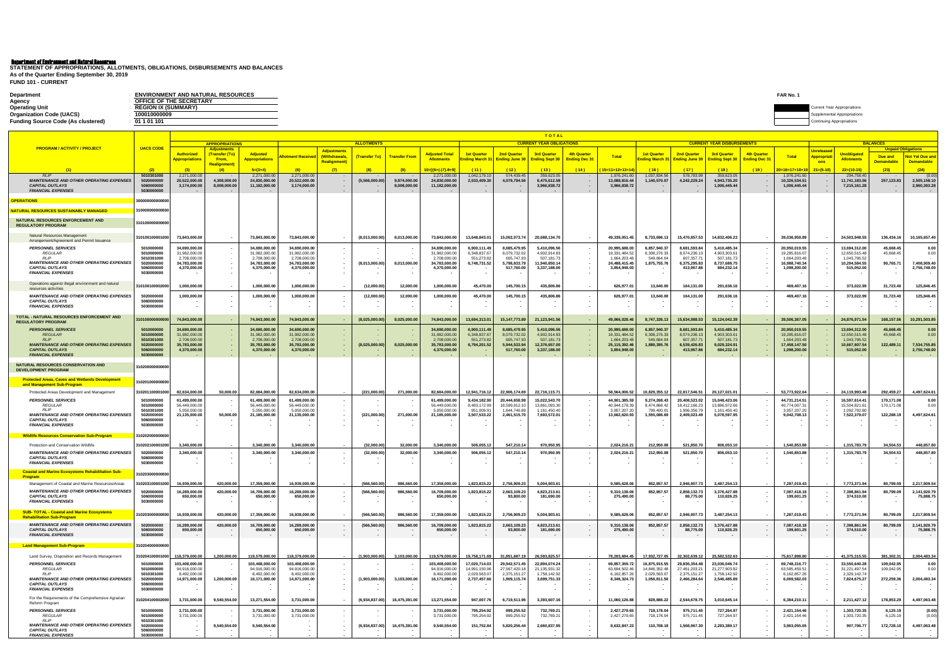| <b>Department</b>                         | <b>ENVIRONMENT AND NATURAL RESOURCES</b> | <b>FAR No.</b>                     |
|-------------------------------------------|------------------------------------------|------------------------------------|
| Agency                                    | OFFICE OF THE SECRETARY                  |                                    |
| <b>Operating Unit</b>                     | <b>REGION IX (SUMMARY)</b>               | <b>Current Year Appropriations</b> |
| <b>Organization Code (UACS)</b>           | 10001000000                              | ental Appropriations               |
| <b>Funding Source Code (As clustered)</b> | 01 1 01 101                              |                                    |
|                                           |                                          |                                    |

**FUND 101 - CURRENT STATEMENT OF APPROPRIATIONS, ALLOTMENTS, OBLIGATIONS, DISBURSEMENTS AND BALANCES As of the Quarter Ending September 30, 2019**

|                                                                                                                       |                                                    |                                              |                                     |                                               |                                               |                                     |                          |                              |                                                |                                |                                | TOTAL                                     |                                                      |                                             |                                |                                |                                           |                          |                                               |                                                      |                                             |                                              |                                        |
|-----------------------------------------------------------------------------------------------------------------------|----------------------------------------------------|----------------------------------------------|-------------------------------------|-----------------------------------------------|-----------------------------------------------|-------------------------------------|--------------------------|------------------------------|------------------------------------------------|--------------------------------|--------------------------------|-------------------------------------------|------------------------------------------------------|---------------------------------------------|--------------------------------|--------------------------------|-------------------------------------------|--------------------------|-----------------------------------------------|------------------------------------------------------|---------------------------------------------|----------------------------------------------|----------------------------------------|
| <b>PROGRAM / ACTIVITY / PROJECT</b>                                                                                   | <b>UACS CODE</b>                                   |                                              | <b>APPROPRIATIONS</b><br>Adjustment |                                               |                                               |                                     | <b>ALLOTMENTS</b>        |                              |                                                |                                |                                | <b>CURRENT YEAR OBLIGATIONS</b>           |                                                      |                                             |                                |                                | <b>CURRENT YEAR DISBURSEMENTS</b>         |                          |                                               |                                                      |                                             | <b>BALANCES</b><br><b>Unpaid Obligations</b> |                                        |
|                                                                                                                       |                                                    | <b>Authorized</b>                            | (Transfer (To)                      | <b>Adjusted</b>                               | <u>Ilotment Receive</u>                       | <b>Adjustments</b><br>(Withdrawals, | (Transfer To)            | <b>Transfer From</b>         | Adjusted Total                                 | <b>1st Quarter</b>             | <b>2nd Quarter</b>             | <b>3rd Quarter</b>                        | 4th Quarter                                          | <b>Total</b>                                | <u>1st Quarter</u>             | <b>2nd Quarter</b>             | <b>3rd Quarter</b>                        | <b>4th Quarter</b>       | Total                                         | <b>Jnrelease</b><br><mark>Appropria</mark>           | <u>Jnobligatec</u>                          | Due and                                      | <b>Not Yet Due and</b>                 |
|                                                                                                                       |                                                    | <b>\ppropriations</b>                        | From,<br>Realignment                | <b>Appropriations</b>                         |                                               | <b>Realignment</b> )                |                          |                              | <b>Allotments</b>                              | <u>:nding March</u>            | Ending June 30                 | <b>Ending Sept 30</b>                     | <b>Ending Dec 31</b>                                 |                                             | <b>nding March 31</b>          | <b>Ending June 30</b>          | <b>Ending Sept 30</b>                     | <b>Ending Dec 31</b>     |                                               | ons                                                  | <b>Allotments</b>                           | <b>Demandable</b>                            | <b>Demandable</b>                      |
|                                                                                                                       | (2)                                                | (3)                                          | (4)                                 | $5=(3+4)$                                     | (6)                                           | (7)                                 | (8)                      | (9)                          | 10=[{6+(-)7}-8+9]                              | (11)                           | (12)                           | (13)                                      | (14)                                                 | $15=11+12+13+1$                             | (16)                           | (17)                           | (18)                                      | (19)                     | 20=16+17+18+19                                | $21=(5-10)$                                          | $22=(10-15)$                                | (23)                                         | (24)                                   |
| <b>RLIP</b><br><b>MAINTENANCE AND OTHER OPERATING EXPENSES</b><br><b>CAPITAL OUTLAYS</b><br><b>FINANCIAL EXPENSES</b> | 5010301000<br>502000000<br>506000000<br>5030000000 | 2,271,000.0<br>20,522,000.00<br>3,174,000.00 | 4,308,000.00<br>8,008,000.00        | 2,271,000.0<br>24,830,000.00<br>11,182,000.00 | 2,271,000.00<br>20,522,000.00<br>3,174,000.00 |                                     | (5,566,000.00)<br>$\sim$ | 9.874.000.00<br>8,008,000.00 | 2,271,000.00<br>24.830.000.00<br>11,182,000.00 | 1,042,179.1<br>2,533,409.30    | 574,439.4<br>4,079,794.5       | 359,623.0<br>6,475,612.58<br>3,966,838.72 | $\sim$<br>$\sim$<br>$\sim$                           | 1,976,241.6<br>13,088,816.4<br>3,966,838.72 | 1,037,834.56<br>1,140,570.07   | 578,783.9<br>4,242,229.24      | 359,623.0<br>4,943,735.20<br>1,006,445.44 | . .                      | 1,976,241.60<br>10,326,534.51<br>1,006,445.44 | $\sim$<br>$\sim$                                     | 294,758.40<br>11,741,183.56<br>7,215,161.28 | 257,123.83                                   | (0.00)<br>2,505,158.10<br>2,960,393.28 |
| <u>PERATIONS</u>                                                                                                      | 0000000000000                                      |                                              |                                     |                                               |                                               |                                     |                          |                              |                                                |                                |                                |                                           |                                                      |                                             |                                |                                |                                           |                          |                                               |                                                      |                                             |                                              |                                        |
| <u>IATURAL RESOURCES SUSTAINABLY MANAGED</u>                                                                          |                                                    |                                              |                                     |                                               |                                               |                                     |                          |                              |                                                |                                |                                |                                           |                                                      |                                             |                                |                                |                                           |                          |                                               |                                                      |                                             |                                              |                                        |
|                                                                                                                       | 10000000000000                                     |                                              |                                     |                                               |                                               |                                     |                          |                              |                                                |                                |                                |                                           |                                                      |                                             |                                |                                |                                           |                          |                                               |                                                      |                                             |                                              |                                        |
| NATURAL RESOURCES ENFORCEMENT AND<br><b>REGULATORY PROGRAM</b>                                                        | 310100000000000                                    |                                              |                                     |                                               |                                               |                                     |                          |                              |                                                |                                |                                |                                           |                                                      |                                             |                                |                                |                                           |                          |                                               |                                                      |                                             |                                              |                                        |
| Natural Resources Management<br>Arrangement/Agreement and Permit Issuance                                             | 310100100001000                                    | 73,843,000.00                                |                                     | 73,843,000.00                                 | 73,843,000.00                                 |                                     | (8,013,000.00)           | 8,013,000.00                 | 73,843,000.00                                  | 13,648,843.01                  | 15,002,073.74                  | 20,688,134.70                             |                                                      | 49,339,051.45                               | 8,733,696.13                   | 15,470,857.53                  | 14,832,406.23                             |                          | 39,036,959.89                                 |                                                      | 24,503,948.55                               | 136,434.16                                   | 10,165,657.40                          |
| <b>PERSONNEL SERVICES</b><br>REGULAR                                                                                  | 5010000000<br>5010000000                           | 34,690,000.00<br>31,982,000.00               |                                     | 34,690,000.00<br>31,982,000.00                | 34,690,000.00<br>31,982,000.00                |                                     |                          |                              | 34,690,000.00<br>31,982,000.00                 | 6,900,111.49<br>6,348,837.67   | 8,685,479.95<br>8,079,732.02   | 5,410,096.56<br>4,902,914.83              | $\sim$                                               | 20,995,688.00<br>19,331,484.52              | 6,857,940.37<br>6,308,276.33   | 8,681,593.84<br>8,074,236.1    | 5,410,485.34<br>4,903,303.6               |                          | 20,950,019.55<br>19,285,816.07                |                                                      | 13,694,312.00<br>12,650,515.48              | 45,668.45<br>45,668.45                       | 0.00<br>0.00                           |
| RL IP<br><b>MAINTENANCE AND OTHER OPERATING EXPENSES</b>                                                              | 5010301000<br>5020000000                           | 2,708,000.00<br>34,783,000.00                |                                     | 2,708,000.0<br>34,783,000.00                  | 2,708,000.00<br>34,783,000.00                 |                                     | (8,013,000.00)           | 8,013,000.00                 | 2,708,000.00<br>34,783,000.00                  | 551,273.82<br>6,748,731.52     | 605,747.93<br>5,798,833.79     | 507,181.73<br>11,940,850.14               | $\sim$<br>$\sim$                                     | 1,664,203.48<br>24,488,415.45               | 549,664.04<br>1,875,755.76     | 607,357.7<br>6,375,295.83      | 507,181.73<br>8,737,688.75                |                          | 1,664,203.48<br>16,988,740.34                 |                                                      | 1,043,796.52<br>10,294,584.55               | 90,765.71                                    | 7,408,909.40                           |
| <b>CAPITAL OUTLAYS</b>                                                                                                | 5060000000                                         | 4,370,000.00                                 |                                     | 4,370,000.00                                  | 4,370,000.00                                  |                                     |                          |                              | 4,370,000.00                                   |                                | 517,760.00                     | 3,337,188.00                              | $\overline{\phantom{a}}$                             | 3,854,948.00                                |                                | 413,967.8                      | 684,232.14                                |                          | 1,098,200.00                                  |                                                      | 515,052.00                                  |                                              | 2,756,748.00                           |
| <b>FINANCIAL EXPENSES</b>                                                                                             | 5030000000                                         |                                              |                                     |                                               |                                               |                                     |                          |                              |                                                |                                |                                |                                           |                                                      |                                             |                                |                                |                                           |                          |                                               |                                                      |                                             |                                              |                                        |
| Operations against illegal environment and natural<br>resources activities                                            | 310100100002000                                    | 1,000,000.00                                 |                                     | 1,000,000.00                                  | 1,000,000.00                                  |                                     | (12,000.00)              | 12,000.00                    | 1,000,000.00                                   | 45,470.00                      | 145,700.1                      | 435,806.86                                |                                                      | 626,977.01                                  | 13,640.00                      | 164,131.00                     | 291,636.16                                |                          | 469,407.16                                    | . .                                                  | 373,022.99                                  | 31,723.40                                    | 125,846.45                             |
| <b>MAINTENANCE AND OTHER OPERATING EXPENSES</b><br><b>CAPITAL OUTLAYS</b>                                             | 5020000000<br>5060000000                           | 1,000,000.00                                 |                                     | 1,000,000.00                                  | 1,000,000.00                                  |                                     | (12,000.00)              | 12,000.00                    | 1,000,000.00                                   | 45,470.00                      | 145,700.1                      | 435,806.86                                | $\overline{\phantom{a}}$                             | 626,977.01                                  | 13,640.00                      | 164,131.00                     | 291,636.16                                |                          | 469,407.16                                    |                                                      | 373,022.99                                  | 31,723.40                                    | 125,846.45                             |
| <b>FINANCIAL EXPENSES</b>                                                                                             | 5030000000                                         |                                              |                                     |                                               |                                               |                                     |                          |                              |                                                |                                |                                |                                           |                                                      |                                             |                                |                                |                                           |                          |                                               |                                                      |                                             |                                              |                                        |
| TOTAL - NATURAL RESOURCES ENFORCEMENT AND<br><b>REGULATORY PROGRAM</b>                                                | 1010000000000                                      | 74,843,000.00                                |                                     | 74,843,000.00                                 | 74,843,000.00                                 |                                     | (8,025,000.00)           | 8,025,000.00                 | 74,843,000.00                                  | 13,694,313.0                   | 15, 147, 773.89                | 21, 123, 941.5                            | $\sim$                                               | 49,966,028.46                               | 8,747,336.13                   | 15,634,988.53                  | 15,124,042.39                             |                          | 39,506,367.05                                 |                                                      | 24,876,971.54                               | 168, 157.56                                  | 10,291,503.85                          |
| <b>PERSONNEL SERVICES</b>                                                                                             | 5010000000                                         | 34,690,000.00                                |                                     | 34,690,000.00                                 | 34,690,000.00                                 |                                     |                          |                              | 34,690,000.00                                  | 6,900,111.49                   | 8,685,479.9                    | 5,410,096.56                              | - 1                                                  | 20,995,688.00                               | 6,857,940.37                   | 8,681,593.84                   | 5,410,485.34                              |                          | 20,950,019.55                                 |                                                      | 13,694,312.00                               | 45,668.45                                    | 0.00                                   |
| <b>REGULAR</b><br>RIP                                                                                                 | 5010000000<br>5010301000                           | 31.982.000.00<br>2.708.000.00                |                                     | 31,982,000.00<br>2,708,000.00                 | 31.982.000.00<br>2,708,000.00                 |                                     |                          |                              | 31.982.000.00<br>2.708.000.00                  | 6.348.837.67<br>551,273.8      | 8,079,732.02<br>605,747.9      | 4,902,914.83<br>507,181.73                | $\sim$                                               | 19.331.484.52<br>1,664,203.48               | 6,308,276.33<br>549.664.04     | 8.074.236.1<br>607,357.7       | 4.903.303.6<br>507,181.73                 |                          | 19,285,816.07<br>1,664,203.48                 |                                                      | 12.650.515.48<br>1.043.796.52               | 45,668.45                                    | 0.00                                   |
| <b>MAINTENANCE AND OTHER OPERATING EXPENSES</b><br><b>CAPITAL OUTLAYS</b>                                             | 5020000000<br>506000000                            | 35,783,000.00                                |                                     | 35,783,000.00                                 | 35,783,000.00                                 |                                     | (8,025,000.00)           | 8,025,000.00                 | 35,783,000.00                                  | 6,794,201.52                   | 5,944,533.9                    | 12,376,657.00                             | $\sim$<br>$\sim$                                     | 25, 115, 392.46                             | 1,889,395.76                   | 6,539,426.83                   | 9,029,324.91<br>684,232.14                |                          | 17,458,147.50                                 |                                                      | 10,667,607.54                               | 122,489.11                                   | 7,534,755.85                           |
| <b>FINANCIAL EXPENSES</b>                                                                                             | 5030000000                                         | 4,370,000.00                                 |                                     | 4,370,000.00                                  | 4,370,000.00                                  |                                     |                          |                              | 4,370,000.00                                   |                                | 517,760.0                      | 3,337,188.00                              |                                                      | 3,854,948.00                                |                                | 413,967                        |                                           |                          | 1,098,200.00                                  |                                                      | 515,052.00                                  |                                              | 2,756,748.00                           |
| NATURAL RESOURCES CONSERVATION AND<br><b>DEVELOPMENT PROGRAM</b>                                                      | 310200000000000                                    |                                              |                                     |                                               |                                               |                                     |                          |                              |                                                |                                |                                |                                           |                                                      |                                             |                                |                                |                                           |                          |                                               |                                                      |                                             |                                              |                                        |
| <b>Protected Areas, Caves and Wetlands Development</b>                                                                | 310201000000000                                    |                                              |                                     |                                               |                                               |                                     |                          |                              |                                                |                                |                                |                                           |                                                      |                                             |                                |                                |                                           |                          |                                               |                                                      |                                             |                                              |                                        |
| and Management Sub-Program<br>Protected Areas Development and Management                                              | 310201100001000                                    | 82.634.000.00                                | 50.000.00                           | 82.684.000.00                                 | 82.634.000.00                                 |                                     | (221,000.00)             | 271,000.00                   | 82.684.000.00                                  | 12,941,716.12                  | 22,906,174.69                  | 22,716,115.71                             |                                                      | 58.564.006.52                               | 10,829,355.12                  | 22.817.546.51                  | 20,127,021.01                             |                          | 53,773,922.64                                 |                                                      | 24.119.993.48                               | 292,459.27                                   | 4,497,624.61                           |
| <b>PERSONNEL SERVICES</b>                                                                                             | 5010000000                                         | 61,499,000.00                                |                                     | 61,499,000.00                                 | 61,499,000.00                                 |                                     |                          |                              | 61,499,000.00                                  | 9,434,182.90                   | 20,444,658.9                   | 15,022,543.70                             | $\overline{\phantom{a}}$                             | 44,901,385.59                               | 9,274,268.43                   | 20,408,523.02                  | 15,048,423.06                             |                          | 44,731,214.51                                 |                                                      | 16,597,614.41                               | 170,171.08                                   | 0.00                                   |
| <b>REGULAR</b><br>RI IP                                                                                               | 5010000000                                         | 56,449,000.0                                 |                                     | 56,449,000.0                                  | 56,449,000.00                                 |                                     |                          |                              | 56,449,000.00                                  | 8,483,172.9                    | 18,599,912.1                   | 13,861,093.30                             | $\sim$                                               | 40,944,178.39                               | 8,474,868.42                   | 18,412,166.2                   | 13,886,972.66                             |                          | 40,774,007.31                                 |                                                      | 15,504,821.61                               | 170,171.08                                   | 0.00                                   |
| <b>MAINTENANCE AND OTHER OPERATING EXPENSES</b>                                                                       | 5010301000<br>5020000000                           | 5.050.000.00<br>21,135,000.00                | 50,000.00                           | 5,050,000.0<br>21,185,000.00                  | 5,050,000.00<br>21,135,000.00                 |                                     | (221,000.00)             | 271,000.00                   | 5.050.000.00<br>21,185,000.00                  | 951,009.9<br>3,507,533.22      | 1.844.746.8<br>2,461,515.70    | 1,161,450.40<br>7,693,572.01              | $\sim$<br>$\sim$                                     | 3,957,207.20<br>13,662,620.93               | 799,400.0<br>1,555,086.69      | 1,996,356.7<br>2,409,023.49    | 1,161,450.40<br>5,078,597.95              |                          | 3,957,207.20<br>9,042,708.13                  | $\overline{\phantom{a}}$                             | 1,092,792.80<br>7,522,379.07                | 122,288.19                                   | 4,497,624.61                           |
| <b>CAPITAL OUTLAYS</b><br><b>FINANCIAL EXPENSES</b>                                                                   | 5060000000<br>5030000000                           |                                              |                                     |                                               |                                               |                                     |                          |                              |                                                |                                |                                |                                           | $\sim$<br>$\sim$                                     |                                             |                                |                                |                                           |                          |                                               | $\overline{\phantom{a}}$                             |                                             |                                              |                                        |
|                                                                                                                       |                                                    |                                              |                                     |                                               |                                               |                                     |                          |                              |                                                |                                |                                |                                           |                                                      |                                             |                                |                                |                                           |                          |                                               |                                                      |                                             |                                              |                                        |
| <u> Wildlife Resources Conservation Sub-Program</u>                                                                   | 10202000000000                                     |                                              |                                     |                                               |                                               |                                     |                          |                              |                                                |                                |                                |                                           |                                                      |                                             |                                |                                |                                           |                          |                                               |                                                      |                                             |                                              |                                        |
| Protection and Conservation Wildlife                                                                                  | 31020210000100                                     | 3,340,000.0                                  |                                     | 3,340,000.0                                   | 3,340,000.0                                   |                                     | (32,000.00)              | 32,000.00                    | 3,340,000.00                                   | 506,055.12                     | 547,210.14                     | 970,950.95                                |                                                      | 2,024,216.21                                | 212,950.08                     | 521,850.7                      | 806,053.10                                |                          | 1,540,853.88                                  |                                                      | 1,315,783.79                                | 34,504.53                                    | 448,857.80                             |
| <b>MAINTENANCE AND OTHER OPERATING EXPENSES</b><br><b>CAPITAL OUTLAYS</b>                                             | 5020000000<br>5060000000                           | 3,340,000.00                                 |                                     | 3,340,000.00                                  | 3,340,000.00                                  |                                     | (32,000.00)              | 32,000.00                    | 3,340,000.00                                   | 506,055.12                     | 547,210.14                     | 970,950.95                                | $\overline{\phantom{a}}$<br>$\overline{\phantom{a}}$ | 2,024,216.21                                | 212,950.08                     | 521,850.7                      | 806,053.10                                |                          | 1,540,853.88                                  | . .                                                  | 1,315,783.79                                | 34,504.53                                    | 448,857.80                             |
| <b>FINANCIAL EXPENSES</b>                                                                                             | 5030000000                                         |                                              |                                     |                                               |                                               |                                     |                          |                              |                                                |                                |                                |                                           |                                                      |                                             |                                |                                |                                           |                          |                                               |                                                      |                                             |                                              |                                        |
| <b>Coastal and Marine Ecosystems Rehabilitation Sub-</b><br><b>Program</b>                                            | 1020300000000                                      |                                              |                                     |                                               |                                               |                                     |                          |                              |                                                |                                |                                |                                           |                                                      |                                             |                                |                                |                                           |                          |                                               |                                                      |                                             |                                              |                                        |
| Management of Coastal and Marine Resources/Areas                                                                      | 10203100001000                                     | 16,939,000.00                                | 420,000.00                          | 17,359,000.00                                 | 16,939,000.00                                 |                                     | (566, 560.00)            | 986,560.00                   | 17,359,000.00                                  | 1,823,815.22                   | 2,756,909.23                   | 5,004,903.61                              |                                                      | 9,585,628.06                                | 852,857.57                     | 2,946,907.73                   | 3,487,254.13                              |                          | 7,287,019.43                                  |                                                      | 7,773,371.94                                | 80,799.09                                    | 2,217,809.54                           |
| <b>MAINTENANCE AND OTHER OPERATING EXPENSES</b>                                                                       | 20000000                                           | 6,289,000.00                                 | 420,000.0                           | 16,709,000.0                                  | 6,289,000.0                                   |                                     | (566,560.00              |                              | 16,709,000.00                                  | 1,823,815.22                   | 2,663,109.23                   | 4,823,213.61                              |                                                      | 9,310,138.0                                 | 852,857.57                     | 2,858,132.73                   | 3,376,427.8                               |                          | 7,087,418.18                                  |                                                      | 7,398,861.9                                 | 80,799.0                                     | 2,141,920.79                           |
| <b>CAPITAL OUTLAYS</b><br><b>FINANCIAL EXPENSES</b>                                                                   | 5060000000<br>5030000000                           | 650,000.00                                   |                                     | 650,000.00                                    | 650,000.00                                    |                                     |                          |                              | 650,000.00                                     |                                | 93,800.00                      | 181,690.00                                | $\sim$                                               | 275,490.00                                  |                                | 88,775.00                      | 110,826.25                                |                          | 199,601.25                                    |                                                      | 374,510.00                                  |                                              | 75,888.75                              |
| <b>SUB- TOTAL - Coastal and Marine Ecosystems</b>                                                                     | 31020300000000                                     | 16,939,000.00                                | 420,000.00                          | 17,359,000.00                                 | 16,939,000.00                                 |                                     | (566, 560.00)            | 986,560.00                   | 17,359,000.00                                  | 1,823,815.22                   | 2,756,909.23                   | 5,004,903.61                              | $\sim$                                               | 9,585,628.06                                | 852,857.57                     | 2,946,907.73                   | 3,487,254.13                              |                          | 7,287,019.43                                  |                                                      | 7,773,371.94                                | 80,799.09                                    | 2,217,809.54                           |
| <b>Rehabilitation Sub-Program</b>                                                                                     |                                                    |                                              |                                     |                                               |                                               |                                     |                          |                              |                                                |                                |                                |                                           |                                                      |                                             |                                |                                |                                           |                          |                                               |                                                      |                                             |                                              |                                        |
| <b>MAINTENANCE AND OTHER OPERATING EXPENSES</b><br><b>CAPITAL OUTLAYS</b><br><b>FINANCIAL EXPENSES</b>                | 5020000000<br>5060000000<br>5030000000             | 16,289,000.00<br>650,000.00                  | 420,000.00<br>$\sim$ $-$            | 16,709,000.00<br>650,000.00                   | 16,289,000.00<br>650,000.00                   |                                     | (566, 560.00)<br>$\sim$  | 986,560.00                   | 16,709,000.00<br>650,000.00                    | 1,823,815.22                   | 2,663,109.23<br>93,800.00      | 4,823,213.61<br>181,690.00                | $\sim$<br>$\sim$<br>$\sim$                           | 9,310,138.06<br>275,490.00                  | 852,857.57                     | 2,858,132.73<br>88,775.00      | 3,376,427.88<br>110,826.25                | $\overline{\phantom{a}}$ | 7,087,418.18<br>199,601.25                    | $\sim$                                               | 7,398,861.94<br>374,510.00                  | 80,799.09<br>$\sim$                          | 2,141,920.79<br>75,888.75              |
|                                                                                                                       |                                                    |                                              |                                     |                                               |                                               |                                     |                          |                              |                                                |                                |                                |                                           |                                                      |                                             |                                |                                |                                           |                          |                                               |                                                      |                                             |                                              |                                        |
| <b>Land Management Sub-Program</b>                                                                                    | 31020400000000                                     |                                              |                                     |                                               |                                               |                                     |                          |                              |                                                |                                |                                |                                           |                                                      |                                             |                                |                                |                                           |                          |                                               |                                                      |                                             |                                              |                                        |
| Land Survey, Disposition and Records Managemen<br><b>PERSONNEL SERVICES</b>                                           | 10204100001000<br>5010000000                       | 118,379,000.00<br>103,408,000.00             | 1,200,000.00                        | 119,579,000.00<br>103,408,000.00              | 118,379,000.00<br>103,408,000.00              |                                     | (1,903,000.00)           | 3,103,000.00                 | 119,579,000.00<br>103,408,000.00               | 19,758,171.69<br>17,020,714.03 | 31,851,687.19<br>29,942,571.45 | 26,593,825.57<br>22,894,074.24            |                                                      | 78,203,684.45<br>69,857,359.72              | 17,932,727.05<br>16,875,915.55 | 32,302,639.12<br>29,836,354.48 | 25,582,532.63<br>23,036,046.74            |                          | 75,817,898.80<br>69,748,316.77                |                                                      | 41,375,315.55<br>33,550,640.28              | 381,302.31                                   | 2,004,483.34<br>0.00                   |
| REGULAR                                                                                                               | 5010000000                                         | 94,916,000.00                                |                                     | 94,916,000.00                                 | 94,916,000.00                                 |                                     | . .                      |                              | 94,916,000.00                                  | 14,991,150.96                  | 27,567,420.1                   | 21,135,931.32                             | $\sim$<br>$\sim$                                     | 63,694,502.46                               | 14,846,352.48                  | 27,461,203.2                   | 21,277,903.82                             |                          | 63,585,459.51                                 |                                                      | 31,221,497.54                               | 109,042.95<br>109,042.95                     | 0.00                                   |
| <b>RLIP</b><br><b>MAINTENANCE AND OTHER OPERATING EXPENSES</b>                                                        | 5010301000<br>5020000000                           | 8,492,000.00<br>14,971,000.00                | 1,200,000.00                        | 8,492,000.00<br>16,171,000.00                 | 8,492,000.00<br>14,971,000.00                 |                                     | (1,903,000.00)           | 3,103,000.00                 | 8,492,000.00<br>16,171,000.00                  | 2,029,563.0<br>2,737,457.66    | 2,375,151.27<br>1,909,115.74   | 1,758,142.92<br>3,699,751.33              | $\sim$<br>$\sim$                                     | 6,162,857.26<br>8,346,324.73                | 2,029,563.07<br>1,056,811.50   | 2,375,151.2<br>2,466,284.64    | 1,758,142.92<br>2,546,485.89              |                          | 6,162,857.26<br>6,069,582.03                  | $\overline{\phantom{a}}$                             | 2,329,142.74<br>7,824,675.27                | 272,259.36                                   | 2,004,483.34                           |
| <b>CAPITAL OUTLAYS</b><br><b>FINANCIAL EXPENSES</b>                                                                   | 5060000000<br>5030000000                           |                                              |                                     |                                               |                                               |                                     | $\sim$                   |                              |                                                |                                | $\overline{\phantom{a}}$       |                                           | $\sim$<br>$\sim$                                     |                                             |                                |                                |                                           |                          |                                               | $\overline{\phantom{a}}$<br>$\overline{\phantom{a}}$ |                                             | . .                                          |                                        |
|                                                                                                                       |                                                    |                                              |                                     |                                               |                                               |                                     |                          |                              |                                                |                                |                                |                                           |                                                      |                                             |                                |                                |                                           |                          |                                               |                                                      |                                             |                                              |                                        |
| For the Requirements of the Comprehensive Agrarian<br>Reform Program                                                  | 10204100002000                                     | 3,731,000.00                                 | 9,540,554.00                        | 13,271,554.00                                 | 3,731,000.00                                  |                                     | (6,934,837.00)           | 16,475,391.00                | 13,271,554.00                                  | 947,007.76                     | 6,719,511.96                   | 3,393,607.16                              | $\overline{\phantom{a}}$                             | 11,060,126.88                               | 828,886.22                     | 2,544,678.75                   | 3,010,645.14                              |                          | 6,384,210.11                                  |                                                      | 2,211,427.12                                | 178,853.29                                   | 4,497,063.48                           |
| <b>PERSONNEL SERVICES</b><br>REGULAR                                                                                  | 5010000000<br>5010000000                           | 3,731,000.00<br>3,731,000.00                 |                                     | 3,731,000.00<br>3,731,000.00                  | 3,731,000.00<br>3,731,000.00                  |                                     |                          |                              | 3,731,000.00<br>3,731,000.00                   | 795,254.92<br>795,254.92       | 899,255.52<br>899,255.52       | 732,769.21<br>732,769.21                  | $\sim$<br>$\sim$                                     | 2,427,279.65<br>2,427,279.65                | 718,178.04<br>718,178.04       | 975.711.45<br>975,711.45       | 727,264.97<br>727,264.97                  |                          | 2,421,154.46<br>2,421,154.46                  |                                                      | 1,303,720.35<br>1,303,720.35                | 6,125.19<br>6,125.19                         | (0.00)<br>(0.00)                       |
| <b>RIIP</b><br><b>MAINTENANCE AND OTHER OPERATING EXPENSES</b>                                                        | 5010301000<br>5020000000                           |                                              | 9,540,554.00                        | 9,540,554.00                                  |                                               |                                     | (6,934,837.00)           | 16,475,391.00                | 9,540,554.00                                   | 151,752.84                     | 5,820,256.44                   | 2,660,837.95                              | $\sim$<br>$\sim$                                     | 8,632,847.23                                | 110,708.18                     | 1,568,967.30                   | 2,283,380.17                              |                          | 3,963,055.65                                  | $\overline{\phantom{a}}$                             | 907,706.77                                  | 172,728.10                                   | 4,497,063.48                           |
| <b>CAPITAL OUTLAYS</b><br><b>FINANCIAL EXPENSES</b>                                                                   | 5060000000<br>5030000000                           |                                              |                                     |                                               |                                               |                                     |                          |                              |                                                |                                |                                |                                           | $\sim$                                               |                                             |                                |                                |                                           |                          |                                               | $\overline{\phantom{a}}$                             |                                             |                                              |                                        |
|                                                                                                                       |                                                    |                                              |                                     |                                               |                                               |                                     |                          |                              |                                                |                                |                                |                                           |                                                      |                                             |                                |                                |                                           |                          |                                               |                                                      |                                             |                                              |                                        |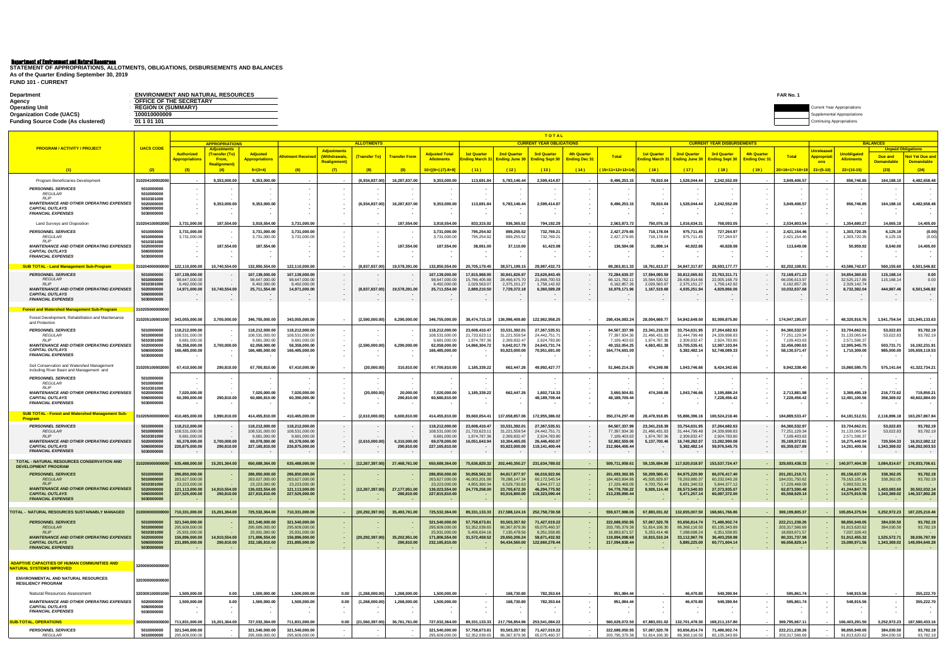| <b>ENVIRONMENT AND NATURAL RESOURCES</b><br>FAR No.<br><b>Department</b> |                                    |
|--------------------------------------------------------------------------|------------------------------------|
| OFFICE OF THE SECRETARY<br>Agency                                        |                                    |
| <b>Operating Unit</b><br><b>REGION IX (SUMMARY)</b>                      | <b>Current Year Appropriations</b> |
| <b>Organization Code (UACS)</b><br>100010000009                          | emental Appropriations             |
| <b>Funding Source Code (As clustered)</b><br>01 1 01 101                 | ำuing Appropriations               |

**FUND 101 - CURRENT STATEMENT OF APPROPRIATIONS, ALLOTMENTS, OBLIGATIONS, DISBURSEMENTS AND BALANCES As of the Quarter Ending September 30, 2019**

|                                                                                        | <b>TOTAL</b>             |                                  |                                             |                                  |                                  |                                    |                   |                             |                                  |                                |                                   |                                 |                  |                                  |                                |                                |                                   |                     |                                  |                                                      |                                  |                              |                                 |
|----------------------------------------------------------------------------------------|--------------------------|----------------------------------|---------------------------------------------|----------------------------------|----------------------------------|------------------------------------|-------------------|-----------------------------|----------------------------------|--------------------------------|-----------------------------------|---------------------------------|------------------|----------------------------------|--------------------------------|--------------------------------|-----------------------------------|---------------------|----------------------------------|------------------------------------------------------|----------------------------------|------------------------------|---------------------------------|
| <b>PROGRAM / ACTIVITY / PROJECT</b>                                                    | <b>UACS CODE</b>         |                                  | <b>APPROPRIATIONS</b><br><b>Adjustments</b> |                                  |                                  |                                    | <b>ALLOTMENTS</b> |                             |                                  |                                |                                   | <b>CURRENT YEAR OBLIGATIONS</b> |                  |                                  |                                |                                | <b>CURRENT YEAR DISBURSEMENTS</b> |                     |                                  |                                                      |                                  | <b>BALANCES</b>              | <b>Unpaid Obligations</b>       |
|                                                                                        |                          | <b>Authorized</b>                | (Transfer (To)                              | <b>Adjusted</b>                  | <u>llotment Receive</u>          | <b>Adjustments</b><br>(Withdrawals | (Transfer To)     | <b>Transfer Fron</b>        | Adiusted Total                   | <b>1st Quarter</b>             | <b>2nd Quarter</b>                | <b>3rd Quarter</b>              | 4th Quarter      | <b>Total</b>                     | <u>1st Quarter</u>             | <b>2nd Quarter</b>             | <b>3rd Quarter</b>                | 4th Quarter         | <b>Total</b>                     | <b>Jnrelease</b><br><u>Appropriat</u>                | <u>Unobligated</u>               | Due and                      | <b>Not Yet Due and</b>          |
|                                                                                        |                          | ppropriations)                   | <b>From</b><br>Realignment                  | <b>Appropriations</b>            |                                  | Realignment                        |                   |                             | <b>Allotments</b>                | nding March 3                  | <b>Ending June 30</b>             | <b>Ending Sept 3</b>            | Ending Dec 31    |                                  | nding March 31                 | <b>Ending June 30</b>          | Ending Sept 30                    | <b>Ending Dec 3</b> |                                  | ons                                                  | <b>Allotments</b>                | <b>Demandable</b>            | <b>Demandable</b>               |
|                                                                                        | (2)                      | (3)                              | (4)                                         | $5=(3+4)$                        | (6)                              | (7)                                | (8)               | (9)                         | <mark>10=[{6+(-)7}-8+9]</mark>   | (11)                           | (12)                              | (13)                            | (14)             | <u>(15=11+12+13+14</u>           | (16)                           | (17)                           | (18)                              | (19)                | 20=16+17+18+19                   | $21=(5-10)$                                          | $22=(10-15)$                     | (23)                         | (24)                            |
| Program Beneficiaries Development                                                      | 1020410000200            |                                  | 9,353,000.00                                | 9,353,000.00                     |                                  |                                    | 6,934,837.00      | 16,287,837.00               | 9,353,000.00                     | 113,691.84                     | 5,783,146.44                      | 2,599,414.87                    |                  | 8,496,253.15                     | 78,810.04                      | 1,528,044.4                    | 2,242,552.09                      |                     | 3,849,406.57                     |                                                      | 856,746.85                       | 164,188.10                   | 4,482,658.48                    |
| <b>PERSONNEL SERVICES</b>                                                              | 5010000000               |                                  |                                             |                                  |                                  |                                    |                   |                             |                                  |                                |                                   |                                 |                  |                                  |                                |                                |                                   |                     |                                  |                                                      |                                  |                              |                                 |
| <b>REGULAR</b><br><b>RLIP</b>                                                          | 5010000000<br>5010301000 |                                  |                                             |                                  |                                  |                                    |                   |                             |                                  |                                |                                   |                                 |                  |                                  |                                |                                |                                   |                     |                                  |                                                      |                                  |                              |                                 |
| <b>MAINTENANCE AND OTHER OPERATING EXPENSES</b><br><b>CAPITAL OUTLAYS</b>              | 5020000000<br>5060000000 |                                  | 9,353,000.00                                | 9,353,000.00                     |                                  |                                    | (6,934,837.00)    | 16,287,837.00               | 9,353,000.00                     | 113,691.84                     | 5,783,146.44                      | 2,599,414.87                    |                  | 8,496,253.15                     | 78,810.04                      | 1,528,044.44                   | 2,242,552.09                      |                     | 3,849,406.57                     | $\overline{\phantom{a}}$                             | 856,746.85                       | 164,188.10                   | 4,482,658.48                    |
| <b>FINANCIAL EXPENSES</b>                                                              | 5030000000               |                                  |                                             |                                  |                                  |                                    |                   |                             |                                  |                                |                                   |                                 |                  |                                  |                                |                                |                                   |                     |                                  | $\overline{\phantom{a}}$                             |                                  |                              |                                 |
| Land Surveys and Disposition                                                           | 102041000020             | 3,731,000.00                     | 187,554.00                                  | 3,918,554.00                     | 3,731,000.00                     |                                    |                   | 187,554.00                  | 3,918,554.00                     | 833,315.92                     | 936,365.52                        | 794,192.29                      |                  | 2,563,873.73                     | 750,076.18                     | 1,016,634.3                    | 768,093.05                        |                     | 2,534,803.54                     |                                                      | 1,354,680.27                     | 14,665.19                    | 14,405.00                       |
| <b>PERSONNEL SERVICES</b>                                                              | 5010000000               | 3,731,000.00                     |                                             | 3,731,000.00                     | 3,731,000.00                     |                                    |                   |                             | 3,731,000.00                     | 795,254.92                     | 899,255.52                        | 732,769.21                      |                  | 2,427,279.6                      | 718,178.04                     | 975,711.4                      | 727,264.97                        |                     | 2,421,154.46                     |                                                      | 1,303,720.35                     | 6,125.19                     | (0.00)                          |
| <b>REGULAR</b><br><b>RLIP</b>                                                          | 5010000000<br>5010301000 | 3,731,000.00                     |                                             | 3,731,000.00                     | 3,731,000.00                     |                                    |                   |                             | 3,731,000.00                     | 795,254.92                     | 899,255.52                        | 732,769.21                      |                  | 2,427,279.65                     | 718,178.04                     | 975,711.45                     | 727,264.97                        |                     | 2,421,154.46                     |                                                      | 1,303,720.35                     | 6,125.19                     | (0.00)                          |
| <b>MAINTENANCE AND OTHER OPERATING EXPENSES</b>                                        | 5020000000<br>5060000000 |                                  | 187,554.00                                  | 187,554.00                       |                                  |                                    |                   | 187,554.00                  | 187,554.00                       | 38,061.00                      | 37,110.00                         | 61,423.08                       |                  | 136,594.08                       | 31,898.14                      | 40,922.86                      | 40,828.08                         |                     | 113,649.08                       |                                                      | 50,959.92                        | 8,540.00                     | 14,405.00                       |
| <b>CAPITAL OUTLAYS</b><br><b>FINANCIAL EXPENSES</b>                                    | 5030000000               |                                  |                                             |                                  |                                  |                                    |                   |                             |                                  |                                |                                   |                                 |                  |                                  |                                |                                |                                   |                     |                                  | . .                                                  |                                  |                              |                                 |
| <b>SUB TOTAL - Land Management Sub-Program</b>                                         | 102040000000             | 122,110,000.00                   | 10,740,554.00                               | 132,850,554.00                   | 122,110,000.00                   |                                    | (8,837,837.00)    | 19,578,391.00               | 132.850.554.00                   | 20,705,179.45                  | 38,571,199.15                     | 29,987,432.7                    |                  | 89,263,811.33                    | 18,761,613.27                  | 34.847.317.87                  | 28,593,177.77                     |                     | 82,202,108.91                    |                                                      | 43,586,742.67                    | 560,155.60                   | 6,501,546.82                    |
| <b>PERSONNEL SERVICES</b>                                                              | 5010000000               | 107,139,000.0                    |                                             | 107,139,000.00                   | 107,139,000.00                   |                                    |                   |                             | 107,139,000.00                   | 17,815,968.9                   | 30,841,826.97                     | 23,626,843.4                    | $\sim$           | 72,284,639.3                     | 17,594,093.59                  | 30,812,065.9                   | 23,763,311.71                     |                     | 72,169,471.23                    |                                                      | 34,854,360.63                    | 115,168.14                   | 0.00                            |
| <b>REGULAR</b><br><b>RLIP</b>                                                          | 5010000000<br>5010301000 | 98,647,000.00<br>8,492,000.00    |                                             | 98,647,000.00<br>8,492,000.00    | 98,647,000.00<br>8,492,000.00    |                                    |                   |                             | 98,647,000.00<br>8,492,000.00    | 15,786,405.88<br>2,029,563.0   | 28,466,675.70<br>2,375,151.27     | 21,868,700.5<br>1,758,142.92    |                  | 66, 121, 782.1<br>6,162,857.26   | 15,564,530.52<br>2,029,563.07  | 28,436,914.66<br>2,375,151.2   | 22,005,168.79<br>1,758,142.92     |                     | 66,006,613.97<br>6,162,857.26    |                                                      | 32,525,217.89<br>2,329,142.74    | 115,168.14                   | 0.00                            |
| <b>MAINTENANCE AND OTHER OPERATING EXPENSES</b>                                        | 5020000000               | 14,971,000.00                    | 10,740,554.00                               | 25,711,554.00                    | 14,971,000.00                    |                                    | (8,837,837.00)    | 19,578,391.00               | 25,711,554.00                    | 2,889,210.50                   | 7,729,372.18                      | 6,360,589.28                    |                  | 16,979,171.96                    | 1,167,519.68                   | 4,035,251.9                    | 4,829,866.06                      |                     | 10,032,637.68                    | $\blacksquare$                                       | 8,732,382.04                     | 444,987.46                   | 6,501,546.82                    |
| <b>CAPITAL OUTLAYS</b><br><b>FINANCIAL EXPENSES</b>                                    | 5060000000<br>5030000000 |                                  |                                             |                                  | $\sim$                           |                                    |                   |                             |                                  |                                |                                   |                                 |                  |                                  |                                |                                |                                   |                     |                                  | $\blacksquare$<br>$\sim$                             |                                  |                              |                                 |
| <u>Forest and Watershed Management Sub-Program_</u>                                    | 1020500000000            |                                  |                                             |                                  |                                  |                                    |                   |                             |                                  |                                |                                   |                                 |                  |                                  |                                |                                |                                   |                     |                                  |                                                      |                                  |                              |                                 |
| Forest Development, Rehabilitation and Maintenance                                     |                          |                                  |                                             |                                  |                                  |                                    |                   |                             |                                  |                                |                                   |                                 |                  |                                  |                                |                                |                                   |                     |                                  |                                                      |                                  |                              |                                 |
| and Protection                                                                         | 10205100001000           | 343,055,000.00                   | 3,700,000.00                                | 346,755,000.00                   | 343,055,000.00                   |                                    | (2,590,000.00)    | 6,290,000.00                | 346,755,000.00                   | 38,474,715.19                  | 136,996,409.80                    | 122,962,958.25                  |                  | 298,434,083.24                   | 28,004,669.77                  | 54,842,649.50                  | 92,099,875.80                     |                     | 174,947,195.07                   |                                                      | 48,320,916.76                    | 1,541,754.54                 | 121,945,133.63                  |
| <b>PERSONNEL SERVICES</b>                                                              | 5010000000               | 18,212,000.00                    |                                             | 118,212,000.00                   | 118,212,000.00                   |                                    |                   |                             | 118,212,000.00                   | 23,608,410.47                  | 33,531,392.0                      | 27,367,535.5                    |                  | 84,507,337.99                    | 23,341,218.39                  | 33,754,631.9                   | 27,264,682.63                     |                     | 84,360,532.97                    |                                                      | 33,704,662.01                    | 53,022.83                    | 93,782.19                       |
| <b>REGULAR</b><br>RLIP                                                                 | 5010000000<br>5010301000 | 108,531,000.00<br>9,681,000.00   |                                             | 108,531,000.00<br>9,681,000.0    | 108,531,000.00<br>9,681,000.00   |                                    |                   |                             | 108,531,000.00<br>9,681,000.0    | 21,733,623.1<br>1,874,787.     | 31,221,559.5<br>2,309,832.4       | 24,442,751.7<br>2,924,783.8     |                  | 77,397,934.3<br>7,109,403.6      | 21,466,431.0<br>1,874,787.36   | 31,444,799.4<br>2,309,832.4    | 24,339,898.83<br>2,924,783.80     |                     | 77,251,129.34<br>7,109,403.63    |                                                      | 31,133,065.64<br>2,571,596.37    | 53,022.83                    | 93,782.19                       |
| <b>MAINTENANCE AND OTHER OPERATING EXPENSES</b><br><b>CAPITAL OUTLAYS</b>              | 5020000000<br>506000000  | 58,358,000.00<br>166,485,000.00  | 3,700,000.00                                | 62,058,000.00<br>166,485,000.00  | 58,358,000.00<br>166,485,000.00  |                                    | (2,590,000.00)    | 6,290,000.00                | 62,058,000.0<br>166,485,000.00   | 14,866,304.7                   | 9,642,017.79<br>93,823,000.00     | 24,643,731.7<br>70,951,691.00   | $\sim$<br>$\sim$ | 49, 152, 054.2<br>164,774,691.00 | 4,663,451.38                   | 15,705,535.4<br>5,382,482.1    | 12,087,103.84<br>52,748,089.33    |                     | 32,456,090.63<br>58,130,571.47   | $\sim$                                               | 12,905,945.75<br>1,710,309.00    | 503,731.71<br>985,000.00     | 16,192,231.91<br>105,659,119.53 |
| <b>FINANCIAL EXPENSES</b>                                                              | 5030000000               |                                  |                                             |                                  |                                  |                                    |                   |                             |                                  |                                |                                   |                                 | $\sim$           |                                  |                                |                                |                                   |                     |                                  | . .                                                  |                                  |                              |                                 |
| Soil Conservation and Watershed Management                                             | 310205100002000          | 67,410,000.00                    | 290,810.00                                  | 67,700,810.00                    | 67,410,000.00                    |                                    | (20,000.00)       | 310,810.00                  | 67,700,810.00                    | 1,185,339.22                   | 662,447.26                        | 49,992,427.7                    |                  | 51,840,214.25                    | 474,249.08                     | 1,043,746.66                   | 8,424,342.66                      |                     | 9,942,338.40                     | $\sim$                                               | 15,860,595.75                    | 575,141.64                   | 41,322,734.21                   |
| including River Basin and Management and                                               |                          |                                  |                                             |                                  |                                  |                                    |                   |                             |                                  |                                |                                   |                                 |                  |                                  |                                |                                |                                   |                     |                                  |                                                      |                                  |                              |                                 |
| <b>PERSONNEL SERVICES</b><br><b>REGULAR</b>                                            | 5010000000<br>5010000000 |                                  |                                             |                                  |                                  |                                    |                   |                             |                                  |                                |                                   |                                 |                  |                                  |                                |                                |                                   |                     |                                  |                                                      |                                  |                              |                                 |
| RLIP<br><b>MAINTENANCE AND OTHER OPERATING EXPENSES</b>                                | 5010301000<br>502000000  |                                  |                                             |                                  |                                  |                                    |                   |                             |                                  |                                |                                   |                                 |                  |                                  |                                |                                |                                   |                     |                                  |                                                      |                                  |                              |                                 |
| <b>CAPITAL OUTLAYS</b>                                                                 | 506000000                | 7,020,000.00<br>60,390,000.00    | 290,810.00                                  | 7,020,000.00<br>60,680,810.00    | 7,020,000.00<br>60,390,000.00    |                                    | (20,000.00)       | 20,000.00<br>290,810.00     | 7,020,000.00<br>60,680,810.00    | 1,185,339.22                   | 662,447.26                        | 1,802,718.3<br>48, 189, 709. 4  | $\sim$<br>$\sim$ | 3,650,504.81<br>48,189,709.44    | 474,249.08                     | 1,043,746.66                   | 1,195,886.24<br>7,228,456.42      |                     | 2,713,881.98<br>7,228,456.42     | $\overline{\phantom{a}}$<br>$\overline{\phantom{a}}$ | 3,369,495.19<br>12,491,100.56    | 216,772.62<br>358,369.02     | 719,850.21<br>40,602,884.00     |
| <b>FINANCIAL EXPENSES</b>                                                              | 5030000000               |                                  |                                             |                                  |                                  |                                    |                   |                             |                                  |                                |                                   |                                 | $\sim$           |                                  |                                |                                |                                   |                     |                                  | $\sim$                                               |                                  |                              |                                 |
| <b>SUB TOTAL - Forest and Watershed Management Sub-</b>                                | 1020500000000            | 410,465,000.00                   | 3,990,810.00                                | 414,455,810.00                   | 410,465,000.00                   |                                    | (2,610,000.00)    | 6,600,810.00                | 414,455,810.00                   | 39,660,054.41                  | 137,658,857.06                    | 172,955,386.02                  |                  | 350,274,297.49                   | 28,478,918.85                  | 55,886,396.1                   | 100,524,218.46                    |                     | 184,889,533.47                   |                                                      | 64, 181, 512. 51                 | 2,116,896.18                 | 163,267,867.84                  |
| Program<br><b>PERSONNEL SERVICES</b>                                                   | 5010000000               | 18,212,000.00                    |                                             | 118,212,000.00                   | 118,212,000.00                   |                                    |                   |                             | 118,212,000.00                   | 23,608,410.4                   | 33,531,392.0                      | 27,367,535.5                    | $\sim$           | 84,507,337.9                     | 23,341,218.39                  | 33,754,631.9                   | 27,264,682.63                     |                     | 84,360,532.97                    |                                                      | 33,704,662.01                    | 53,022.83                    | 93,782.19                       |
| <b>REGULAR</b>                                                                         | 5010000000               | 108,531,000.0                    |                                             | 108,531,000.00                   | 108,531,000.00                   |                                    |                   |                             | 108,531,000.00                   | 21,733,623.1                   | 31,221,559.5                      | 24,442,751.7                    | $\sim$           | 77,397,934.3                     | 21,466,431.0                   | 31,444,799.4                   | 24,339,898.83                     |                     | 77,251,129.34                    |                                                      | 31,133,065.64                    | 53,022.83                    | 93,782.19                       |
| RLP<br><b>MAINTENANCE AND OTHER OPERATING EXPENSES</b>                                 | 5010301000<br>5020000000 | 9.681.000.00<br>65,378,000.00    | 3,700,000.00                                | 9.681.000.00<br>69,078,000.00    | 9.681.000.00<br>65,378,000.00    |                                    | (2,610,000.00)    | 6.310.000.00                | 9.681.000.0<br>69,078,000.00     | 1.874.787.3<br>16,051,643.94   | 2,309,832.4<br>10,304,465.05      | 2,924,783.8<br>26,446,450.07    | $\sim$           | 7.109.403.6<br>52,802,559.00     | 1.874.787.36<br>5,137,700.46   | 2.309.832.4<br>16,749,282.0    | 2,924,783.80<br>13,282,990.08     |                     | 7.109.403.63<br>35,169,972.61    | $\sim$                                               | 2,571,596.37<br>16,275,440.94    | 720,504.33                   | 16,912,082.12                   |
| <b>CAPITAL OUTLAYS</b><br><b>FINANCIAL EXPENSES</b>                                    | 5060000000               | 226,875,000.00                   | 290,810.00                                  | 227,165,810.00                   | 226,875,000.00                   |                                    |                   | 290,810.00                  | 227,165,810.00                   |                                | 93,823,000.00                     | 119,141,400.44                  | $\sim$           | 212,964,400.44                   |                                | 5,382,482.1                    | 59,976,545.75                     |                     | 65,359,027.89                    | $\overline{\phantom{a}}$                             | 14,201,409.56                    | 1,343,369.02                 | 146,262,003.53                  |
|                                                                                        | 5030000000               |                                  |                                             |                                  |                                  | $\sim$ 30                          |                   |                             |                                  |                                |                                   |                                 |                  |                                  |                                |                                |                                   |                     |                                  | $\overline{\phantom{a}}$                             |                                  |                              |                                 |
| <b>TOTAL - NATURAL RESOURCES CONSERVATION AND</b><br><b>DEVELOPMENT PROGRAM</b>        | 10200000000              | 635,488,000.0                    | 15,201,364.0                                | 650,689,364.00                   | 635,488,000.00                   |                                    | (12,267,397.00    | 27,468,761.00               | 650,689,364.00                   | 75,636,820.32                  | 202,440,350.27                    | 231,634,789.0                   |                  | 509,711,959.6                    | 59,135,694.89                  | 117,020,018.9                  | 153,537,724.47                    |                     | 329,693,438.33                   |                                                      | 140,977,404.39                   | 3,084,814.67                 | 176,933,706.61                  |
| <b>PERSONNEL SERVICES</b>                                                              | 5010000000               | 286,850,000.0                    |                                             | 286,850,000.00                   | 286,850,000.00                   |                                    |                   |                             | 286,850,000.00                   | 50,858,562.3                   | 84,817,877.9                      | 66,016,922.6                    |                  | 201,693,362.95                   | 50,209,580.4                   | 84,975,220.9                   | 66,076,417.40                     |                     | 201,261,218.7                    |                                                      | 85,156,637.05                    | 338,362.0                    | 93,782.19                       |
| <b>REGULAR</b><br><b>RLIP</b>                                                          | 501000000<br>5010301000  | 263,627,000.0<br>23,223,000.0    |                                             | 263,627,000.0<br>23,223,000.00   | 263,627,000.00<br>23,223,000.00  |                                    |                   |                             | 263,627,000.0<br>23,223,000.0    | 46,003,201.<br>4.855.360.3     | 78,288,147.3<br>6,529,730.63      | 60,172,545.5<br>5.844.377.1     |                  | 184,463,894.8<br>17,229,468.09   | 45,505,829.9<br>4.703.750.44   | 78,293,880.<br>6.681.340.5     | 60,232,040.28<br>5.844.377.12     |                     | 184,031,750.62<br>17,229,468.09  |                                                      | 79, 163, 105. 14<br>5.993.531.91 | 338,362.05                   | 93,782.19                       |
| <b>MAINTENANCE AND OTHER OPERATING EXPENSES</b>                                        | 5020000000               | 121.113.000.00                   | 14.910.554.00                               | 136.023.554.00                   | 121.113.000.00                   |                                    | (12 267 397 00)   | 27.177.951.00               | 136,023,554.00                   | 24.778.258.00                  | 23.705.672.30                     | 46.294.775.92                   |                  | 94,778,706.22                    | 8.926.114.48                   | 26.573.540.93                  | 27.373.935.07                     |                     | 62.873.590.48                    |                                                      | 41.244.847.78                    | 1.403.083.60                 | 30.502.032.14                   |
| <b>CAPITAL OUTLAYS</b><br><b>FINANCIAL EXPENSES</b>                                    | 5060000000<br>5030000000 | 227,525,000.00                   | 290,810.00                                  | 227,815,810.00                   | 227,525,000.00                   |                                    |                   | 290,810.00                  | 227,815,810.00                   |                                | 93,916,800.00                     | 119,323,090.44                  | $\sim$           | 213,239,890.44                   |                                | 5,471,257.14                   | 60,087,372.00                     |                     | 65,558,629.14                    |                                                      | 14,575,919.56                    | 1,343,369.02                 | 146,337,892.28                  |
|                                                                                        |                          |                                  |                                             |                                  |                                  |                                    |                   |                             |                                  |                                |                                   |                                 |                  |                                  |                                |                                |                                   |                     |                                  |                                                      |                                  |                              |                                 |
| TOTAL - NATURAL RESOURCES SUSTAINABLY MANAGED                                          | 000000000                | 710,331,000.00                   | 15,201,364.00                               | 725,532,364.00                   | 710,331,000.00                   |                                    | (20, 292, 397.00) | 35,493,761.00               | 725,532,364.00                   | 89,331,133.33                  | 217,588,124.16                    | 252,758,730.5                   |                  | 559,677,988.06                   | 67,883,031.02                  | 132,655,007.5                  | 168,661,766.86                    |                     | 369,199,805.37                   |                                                      | 165,854,375.94                   | 3,252,972.23                 | 187,225,210.46                  |
| <b>PERSONNEL SERVICES</b>                                                              | 5010000000               | 321,540,000.00                   |                                             | 321,540,000.00                   | 321,540,000.00                   |                                    |                   |                             | 321,540,000.00                   | 57,758,673.81                  | 93,503,357.92                     | 71,427,019.22                   |                  | 222,689,050.95                   | 57,067,520.78                  | 93,656,814.74                  | 71,486,902.74                     |                     | 222,211,238.26                   |                                                      | 98,850,949.05                    | 384,030.50                   | 93,782.19                       |
| <b>REGULAR</b><br><b>RLIP</b>                                                          | 5010000000<br>5010301000 | 295,609,000.00<br>25,931,000.00  |                                             | 295,609,000.00<br>25,931,000.00  | 295,609,000.00<br>25,931,000.00  |                                    |                   |                             | 295,609,000.00<br>25,931,000.00  | 52,352,039.65<br>5,406,634.16  | 86, 367, 879. 36<br>7,135,478.56  | 65,075,460.37<br>6,351,558.85   |                  | 203,795,379.38<br>18,893,671.57  | 51,814,106.30<br>5,253,414.48  | 86,368,116.50<br>7,288,698.24  | 65, 135, 343.89<br>6,351,558.85   |                     | 203,317,566.69<br>18,893,671.57  |                                                      | 91,813,620.62<br>7,037,328.43    | 384,030.50                   | 93,782.19                       |
| <b>MAINTENANCE AND OTHER OPERATING EXPENSES</b><br><b>CAPITAL OUTLAYS</b>              | 5020000000<br>5060000000 | 156,896,000.00<br>231,895,000.00 | 14,910,554.00<br>290,810.00                 | 171,806,554.00<br>232,185,810.00 | 156,896,000.00<br>231,895,000.00 |                                    | (20, 292, 397.00) | 35,202,951.00<br>290,810.00 | 171,806,554.00<br>232,185,810.00 | 31,572,459.52                  | 29,650,206.24<br>94,434,560.00    | 58,671,432.92<br>122,660,278.44 | $\sim$           | 119,894,098.68<br>217,094,838.44 | 10,815,510.24                  | 33,112,967.76<br>5,885,225.00  | 36,403,259.98<br>60,771,604.14    |                     | 80,331,737.98<br>66,656,829.14   |                                                      | 51,912,455.32<br>15,090,971.56   | 1,525,572.71<br>1,343,369.02 | 38,036,787.99<br>149,094,640.28 |
| <b>FINANCIAL EXPENSES</b>                                                              | 5030000000               |                                  |                                             |                                  |                                  |                                    |                   |                             |                                  |                                |                                   |                                 |                  |                                  |                                |                                |                                   |                     |                                  |                                                      |                                  |                              |                                 |
|                                                                                        |                          |                                  |                                             |                                  |                                  |                                    |                   |                             |                                  |                                |                                   |                                 |                  |                                  |                                |                                |                                   |                     |                                  |                                                      |                                  |                              |                                 |
| <b>ADAPTIVE CAPACITIES OF HUMAN COMMUNITIES AND</b><br><b>NATURAL SYSTEMS IMPROVED</b> | 32000000000000           |                                  |                                             |                                  |                                  |                                    |                   |                             |                                  |                                |                                   |                                 |                  |                                  |                                |                                |                                   |                     |                                  |                                                      |                                  |                              |                                 |
|                                                                                        |                          |                                  |                                             |                                  |                                  |                                    |                   |                             |                                  |                                |                                   |                                 |                  |                                  |                                |                                |                                   |                     |                                  |                                                      |                                  |                              |                                 |
| <b>ENVIRONMENTAL AND NATURAL RESOURCES</b><br><b>RESILIENCY PROGRAM</b>                | 32030000000000           |                                  |                                             |                                  |                                  |                                    |                   |                             |                                  |                                |                                   |                                 |                  |                                  |                                |                                |                                   |                     |                                  |                                                      |                                  |                              |                                 |
| <b>Natural Resources Assessment</b>                                                    | 320300100001000          | 1,500,000.00                     | 0.00                                        | 1.500.000.00                     | 1.500.000.00                     | 0.00                               | (1,268,000.00)    | 1.268.000.00                | 1.500.000.00                     |                                | 168,730.80                        | 782,353.64                      |                  | 951,084.44                       |                                | 46,470.80                      | 549,390.94                        |                     | 595.861.74                       |                                                      | 548,915.56                       |                              | 355,222.70                      |
| <b>MAINTENANCE AND OTHER OPERATING EXPENSES</b>                                        | 5020000000               | 1,500,000.00                     | 0.00                                        | 1,500,000.00                     | 1,500,000.00                     | 0.00                               | (1,268,000.00)    | 1,268,000.00                | 1,500,000.00                     |                                | 168,730.80                        | 782,353.64                      |                  | 951,084.44                       |                                | 46,470.80                      | 549,390.94                        |                     | 595,861.74                       |                                                      | 548,915.56                       |                              | 355,222.70                      |
| <b>CAPITAL OUTLAYS</b>                                                                 | 5060000000               |                                  |                                             |                                  |                                  |                                    |                   |                             |                                  |                                |                                   |                                 |                  |                                  | $\sim$                         |                                |                                   |                     |                                  |                                                      |                                  |                              |                                 |
| <b>FINANCIAL EXPENSES</b>                                                              | 5030000000               |                                  |                                             |                                  |                                  |                                    |                   |                             |                                  |                                |                                   |                                 |                  |                                  |                                |                                |                                   |                     |                                  | $\overline{\phantom{a}}$                             |                                  |                              |                                 |
| <b>SUB-TOTAL, OPERATIONS</b>                                                           |                          | 711,831,000.00                   | 15,201,364.00                               | 727,032,364.00                   | 711,831,000.00                   | 0.00                               | (21,560,397.00)   | 36,761,761.00               | 727,032,364.00                   | 89,331,133.33                  | 217,756,854.96                    | 253,541,084.22                  |                  | 560,629,072.50                   | 67,883,031.02                  | 132,701,478.30                 | 169,211,157.80                    |                     | 369,795,667.11                   |                                                      | 166,403,291.50                   | 3,252,972.23                 | 187,580,433.16                  |
| <b>PERSONNEL SERVICES</b><br><i>REGULAR</i>                                            | 5010000000<br>5010000000 | 321,540,000.00<br>295,609,000.00 |                                             | 321,540,000.00<br>295,609,000.00 | 321,540,000.00<br>295,609,000.00 |                                    |                   |                             | 321,540,000.00<br>295,609,000.00 | 57,758,673.81<br>52,352,039.65 | 93,503,357.92<br>86, 367, 879. 36 | 71,427,019.22<br>65,075,460.37  |                  | 222,689,050.95<br>203,795,379.38 | 57,067,520.78<br>51,814,106.30 | 93,656,814.74<br>86,368,116.50 | 71,486,902.74<br>65, 135, 343.89  |                     | 222,211,238.26<br>203,317,566.69 |                                                      | 98,850,949.05<br>91,813,620.62   | 384,030.50<br>384,030.50     | 93,782.19<br>93,782.19          |